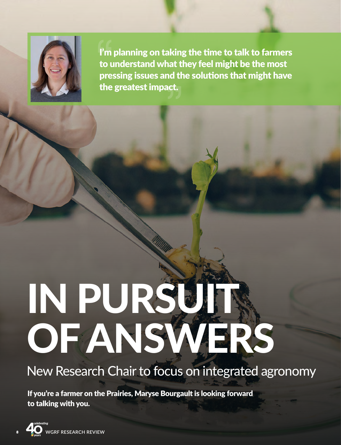

I'm planning on taking the time to talk to farmers to understand what they feel might be the most pressing issues and the solutions that might have the greatest impact.

## IN PURSUIR OF ANSWERS

## New Research Chair to focus on integrated agronomy

If you're a farmer on the Prairies, Maryse Bourgault is looking forward to talking with you.